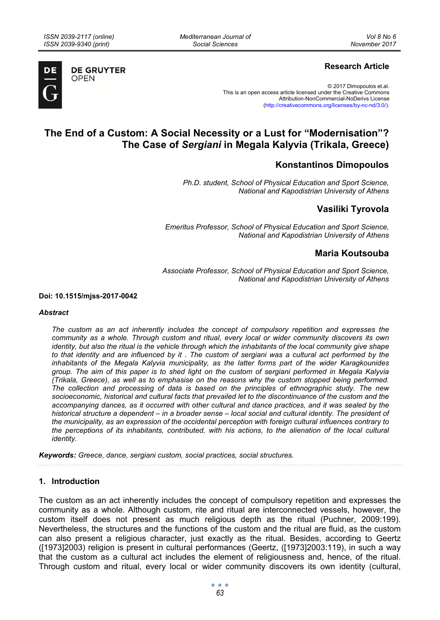*Mediterranean Journal of Social Sciences* 



**DE GRUYTER OPEN** 

## **Research Article**

© 2017 Dimopoulos et.al. This is an open access article licensed under the Creative Commons Attribution-NonCommercial-NoDerivs License (http://creativecommons.org/licenses/by-nc-nd/3.0/).

# **The End of a Custom: A Social Necessity or a Lust for "Modernisation"? The Case of** *Sergiani* **in Megala Kalyvia (Trikala, Greece)**

## **Konstantinos Dimopoulos**

*Ph.D. student, School of Physical Education and Sport Science, National and Kapodistrian University of Athens* 

## **Vasiliki Tyrovola**

*Emeritus Professor, School of Physical Education and Sport Science, National and Kapodistrian University of Athens* 

### **Maria Koutsouba**

*Associate Professor, School of Physical Education and Sport Science, National and Kapodistrian University of Athens* 

**Doi: 10.1515/mjss-2017-0042** 

#### *Abstract*

*The custom as an act inherently includes the concept of compulsory repetition and expresses the community as a whole. Through custom and ritual, every local or wider community discovers its own identity, but also the ritual is the vehicle through which the inhabitants of the local community give shape to that identity and are influenced by it . The custom of sergiani was a cultural act performed by the inhabitants of the Megala Kalyvia municipality, as the latter forms part of the wider Karagkounides group. The aim of this paper is to shed light on the custom of sergiani performed in Megala Kalyvia (Trikala, Greece), as well as to emphasise on the reasons why the custom stopped being performed. The collection and processing of data is based on the principles of ethnographic study. The new socioeconomic, historical and cultural facts that prevailed let to the discontinuance of the custom and the accompanying dances, as it occurred with other cultural and dance practices, and it was sealed by the historical structure a dependent – in a broader sense – local social and cultural identity. The president of the municipality, as an expression of the occidental perception with foreign cultural influences contrary to the perceptions of its inhabitants, contributed, with his actions, to the alienation of the local cultural identity.* 

*Keywords: Greece, dance, sergiani custom, social practices, social structures.* 

### **1. Introduction**

The custom as an act inherently includes the concept of compulsory repetition and expresses the community as a whole. Although custom, rite and ritual are interconnected vessels, however, the custom itself does not present as much religious depth as the ritual (Puchner, 2009:199). Nevertheless, the structures and the functions of the custom and the ritual are fluid, as the custom can also present a religious character, just exactly as the ritual. Besides, according to Geertz ([1973]2003) religion is present in cultural performances (Geertz, ([1973]2003:119), in such a way that the custom as a cultural act includes the element of religiousness and, hence, of the ritual. Through custom and ritual, every local or wider community discovers its own identity (cultural,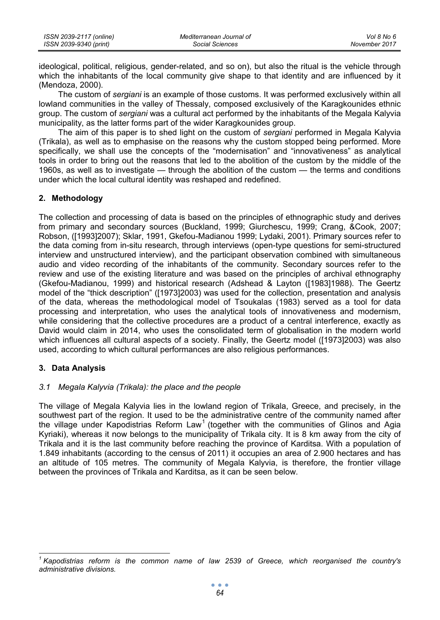| ISSN 2039-2117 (online) | Mediterranean Journal of | Vol 8 No 6    |
|-------------------------|--------------------------|---------------|
| ISSN 2039-9340 (print)  | Social Sciences          | November 2017 |

ideological, political, religious, gender-related, and so on), but also the ritual is the vehicle through which the inhabitants of the local community give shape to that identity and are influenced by it (Mendoza, 2000).

Τhe custom of *sergiani* is an example of those customs. It was performed exclusively within all lowland communities in the valley of Thessaly, composed exclusively of the Karagkounides ethnic group. The custom of *sergiani* was a cultural act performed by the inhabitants of the Megala Kalyvia municipality, as the latter forms part of the wider Karagkounides group.

The aim of this paper is to shed light on the custom of *sergiani* performed in Megala Kalyvia (Trikala), as well as to emphasise on the reasons why the custom stopped being performed. More specifically, we shall use the concepts of the "modernisation" and "innovativeness" as analytical tools in order to bring out the reasons that led to the abolition of the custom by the middle of the 1960s, as well as to investigate — through the abolition of the custom — the terms and conditions under which the local cultural identity was reshaped and redefined.

### **2. Methodology**

The collection and processing of data is based on the principles of ethnographic study and derives from primary and secondary sources (Buckland, 1999; Giurchescu, 1999; Crang, &Cook, 2007; Robson, ([1993]2007); Sklar, 1991, Gkefou-Madianou 1999; Lydaki, 2001). Primary sources refer to the data coming from in-situ research, through interviews (open-type questions for semi-structured interview and unstructured interview), and the participant observation combined with simultaneous audio and video recording of the inhabitants of the community. Secondary sources refer to the review and use of the existing literature and was based on the principles of archival ethnography (Gkefou-Madianou, 1999) and historical research (Adshead & Layton ([1983]1988). The Geertz model of the "thick description" ([1973]2003) was used for the collection, presentation and analysis of the data, whereas the methodological model of Tsoukalas (1983) served as a tool for data processing and interpretation, who uses the analytical tools of innovativeness and modernism, while considering that the collective procedures are a product of a central interference, exactly as David would claim in 2014, who uses the consolidated term of globalisation in the modern world which influences all cultural aspects of a society. Finally, the Geertz model ([1973]2003) was also used, according to which cultural performances are also religious performances.

### **3. Data Analysis**

### *3.1 Megala Kalyvia (Trikala): the place and the people*

The village of Megala Kalyvia lies in the lowland region of Trikala, Greece, and precisely, in the southwest part of the region. It used to be the administrative centre of the community named after the village under Kapodistrias Reform Law<sup>1</sup> (together with the communities of Glinos and Agia Kyriaki), whereas it now belongs to the municipality of Trikala city. It is 8 km away from the city of Trikala and it is the last community before reaching the province of Karditsa. With a population of 1.849 inhabitants (according to the census of 2011) it occupies an area of 2.900 hectares and has an altitude of 105 metres. The community of Megala Kalyvia, is therefore, the frontier village between the provinces of Trikala and Karditsa, as it can be seen below.

*<sup>1</sup> Kapodistrias reform is the common name of law 2539 of Greece, which reorganised the country's administrative divisions.*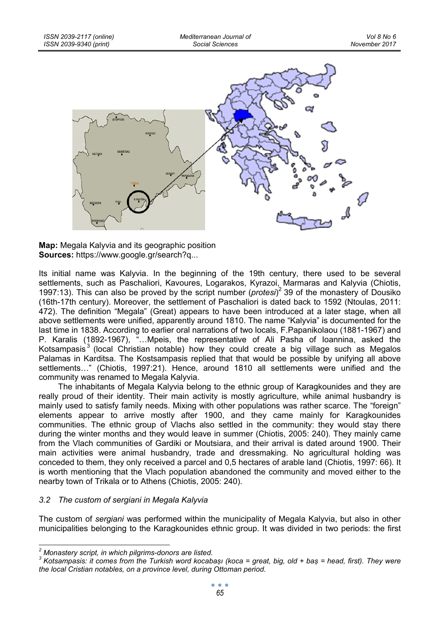

**Map:** Megala Kalyvia and its geographic position **Sources:** https://www.google.gr/search?q...

Its initial name was Kalyvia. In the beginning of the 19th century, there used to be several settlements, such as Paschaliori, Kavoures, Logarakos, Kyrazoi, Marmaras and Kalyvia (Chiotis, 1997:13). This can also be proved by the script number (*protesi*) 2 39 of the monastery of Dousiko (16th-17th century). Moreover, the settlement of Paschaliori is dated back to 1592 (Ntoulas, 2011: 472). The definition "Megala" (Great) appears to have been introduced at a later stage, when all above settlements were unified, apparently around 1810. The name "Kalyvia" is documented for the last time in 1838. According to earlier oral narrations of two locals, F.Papanikolaou (1881-1967) and P. Karalis (1892-1967), "…Mpeis, the representative of Ali Pasha of Ioannina, asked the Kotsampasis $3$  (local Christian notable) how they could create a big village such as Megalos Palamas in Karditsa. The Kostsampasis replied that that would be possible by unifying all above settlements…" (Chiotis, 1997:21). Hence, around 1810 all settlements were unified and the community was renamed to Megala Kalyvia.

The inhabitants of Megala Kalyvia belong to the ethnic group of Karagkounides and they are really proud of their identity. Their main activity is mostly agriculture, while animal husbandry is mainly used to satisfy family needs. Mixing with other populations was rather scarce. The "foreign" elements appear to arrive mostly after 1900, and they came mainly for Karagkounides communities. The ethnic group of Vlachs also settled in the community: they would stay there during the winter months and they would leave in summer (Chiotis, 2005: 240). They mainly came from the Vlach communities of Gardiki or Moutsiara, and their arrival is dated around 1900. Their main activities were animal husbandry, trade and dressmaking. No agricultural holding was conceded to them, they only received a parcel and 0,5 hectares of arable land (Chiotis, 1997: 66). It is worth mentioning that the Vlach population abandoned the community and moved either to the nearby town of Trikala or to Athens (Chiotis, 2005: 240).

### *3.2 The custom of sergiani in Megala Kalyvia*

The custom of *sergiani* was performed within the municipality of Megala Kalyvia, but also in other municipalities belonging to the Karagkounides ethnic group. It was divided in two periods: the first

<sup>&</sup>lt;sup>2</sup><br><sup>2</sup> Monastery script, in which pilgrims-donors are listed.<br><sup>3</sup> Keteempericult cames from the Turkiph word keeph

*Kotsampasis: it comes from the Turkish word kocabaṣı (koca = great, big, old + baṣ = head, first). They were the local Cristian notables, on a province level, during Ottoman period.*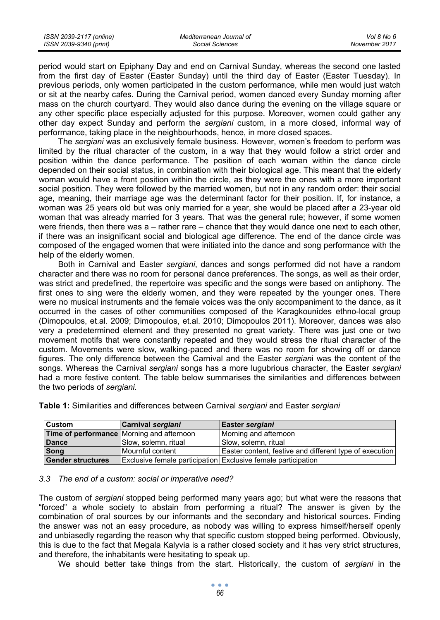period would start on Epiphany Day and end on Carnival Sunday, whereas the second one lasted from the first day of Easter (Easter Sunday) until the third day of Easter (Easter Tuesday). In previous periods, only women participated in the custom performance, while men would just watch or sit at the nearby cafes. During the Carnival period, women danced every Sunday morning after mass on the church courtyard. They would also dance during the evening on the village square or any other specific place especially adjusted for this purpose. Moreover, women could gather any other day expect Sunday and perform the *sergiani* custom, in a more closed, informal way of performance, taking place in the neighbourhoods, hence, in more closed spaces.

The *sergiani* was an exclusively female business. However, women's freedom to perform was limited by the ritual character of the custom, in a way that they would follow a strict order and position within the dance performance. The position of each woman within the dance circle depended on their social status, in combination with their biological age. This meant that the elderly woman would have a front position within the circle, as they were the ones with a more important social position. They were followed by the married women, but not in any random order: their social age, meaning, their marriage age was the determinant factor for their position. If, for instance, a woman was 25 years old but was only married for a year, she would be placed after a 23-year old woman that was already married for 3 years. That was the general rule; however, if some women were friends, then there was a – rather rare – chance that they would dance one next to each other, if there was an insignificant social and biological age difference. The end of the dance circle was composed of the engaged women that were initiated into the dance and song performance with the help of the elderly women.

Both in Carnival and Easter *sergiani*, dances and songs performed did not have a random character and there was no room for personal dance preferences. The songs, as well as their order, was strict and predefined, the repertoire was specific and the songs were based on antiphony. The first ones to sing were the elderly women, and they were repeated by the younger ones. There were no musical instruments and the female voices was the only accompaniment to the dance, as it occurred in the cases of other communities composed of the Karagkounides ethno-local group (Dimopoulos, et.al. 2009; Dimopoulos, et.al. 2010; Dimopoulos 2011). Moreover, dances was also very a predetermined element and they presented no great variety. There was just one or two movement motifs that were constantly repeated and they would stress the ritual character of the custom. Movements were slow, walking-paced and there was no room for showing off or dance figures. The only difference between the Carnival and the Easter *sergian*i was the content of the songs. Whereas the Carnival *sergiani* songs has a more lugubrious character, the Easter *sergiani* had a more festive content. The table below summarises the similarities and differences between the two periods of *sergiani*.

| <b>Custom</b>            | <b>Carnival sergiani</b>                                      | Easter sergiani                                         |
|--------------------------|---------------------------------------------------------------|---------------------------------------------------------|
|                          | <b>Time of performance</b> Morning and afternoon              | Morning and afternoon                                   |
| Dance                    | Slow, solemn, ritual                                          | Slow, solemn, ritual                                    |
| Song                     | l Mournful content                                            | Easter content, festive and different type of execution |
| <b>Gender structures</b> | Exclusive female participation Exclusive female participation |                                                         |

**Table 1:** Similarities and differences between Carnival *sergiani* and Easter *sergiani* 

### *3.3 The end of a custom: social or imperative need?*

The custom of *sergiani* stopped being performed many years ago; but what were the reasons that "forced" a whole society to abstain from performing a ritual? The answer is given by the combination of oral sources by our informants and the secondary and historical sources. Finding the answer was not an easy procedure, as nobody was willing to express himself/herself openly and unbiasedly regarding the reason why that specific custom stopped being performed. Obviously, this is due to the fact that Megala Kalyvia is a rather closed society and it has very strict structures, and therefore, the inhabitants were hesitating to speak up.

We should better take things from the start. Historically, the custom of *sergiani* in the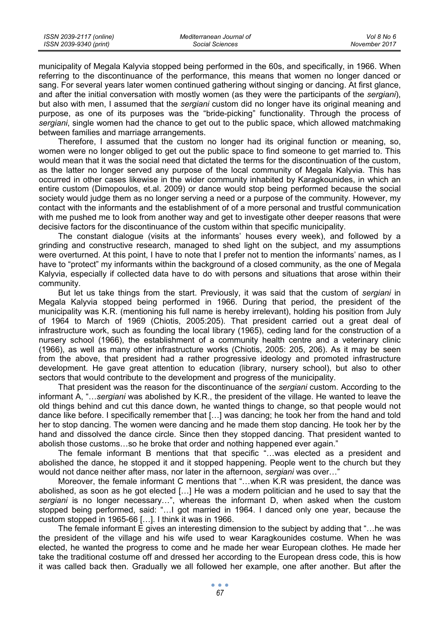municipality of Megala Kalyvia stopped being performed in the 60s, and specifically, in 1966. When referring to the discontinuance of the performance, this means that women no longer danced or sang. For several years later women continued gathering without singing or dancing. At first glance, and after the initial conversation with mostly women (as they were the participants of the *sergiani*), but also with men, I assumed that the *sergiani* custom did no longer have its original meaning and purpose, as one of its purposes was the "bride-picking" functionality. Through the process of *sergiani*, single women had the chance to get out to the public space, which allowed matchmaking between families and marriage arrangements.

Therefore, I assumed that the custom no longer had its original function or meaning, so, women were no longer obliged to get out the public space to find someone to get married to. This would mean that it was the social need that dictated the terms for the discontinuation of the custom, as the latter no longer served any purpose of the local community of Megala Kalyvia. This has occurred in other cases likewise in the wider community inhabited by Karagkounides, in which an entire custom (Dimopoulos, et.al. 2009) or dance would stop being performed because the social society would judge them as no longer serving a need or a purpose of the community. However, my contact with the informants and the establishment of of a more personal and trustful communication with me pushed me to look from another way and get to investigate other deeper reasons that were decisive factors for the discontinuance of the custom within that specific municipality.

The constant dialogue (visits at the informants' houses every week), and followed by a grinding and constructive research, managed to shed light on the subject, and my assumptions were overturned. At this point, I have to note that I prefer not to mention the informants' names, as I have to "protect" my informants within the background of a closed community, as the one of Megala Kalyvia, especially if collected data have to do with persons and situations that arose within their community.

But let us take things from the start. Previously, it was said that the custom of *sergiani* in Megala Kalyvia stopped being performed in 1966. During that period, the president of the municipality was K.R. (mentioning his full name is hereby irrelevant), holding his position from July of 1964 to March of 1969 (Chiotis, 2005:205). That president carried out a great deal of infrastructure work, such as founding the local library (1965), ceding land for the construction of a nursery school (1966), the establishment of a community health centre and a veterinary clinic (1966), as well as many other infrastructure works (Chiotis, 2005: 205, 206). As it may be seen from the above, that president had a rather progressive ideology and promoted infrastructure development. He gave great attention to education (library, nursery school), but also to other sectors that would contribute to the development and progress of the municipality.

That president was the reason for the discontinuance of the *sergiani* custom. According to the informant A, "…*sergiani* was abolished by K.R., the president of the village. He wanted to leave the old things behind and cut this dance down, he wanted things to change, so that people would not dance like before. I specifically remember that […] was dancing; he took her from the hand and told her to stop dancing. The women were dancing and he made them stop dancing. He took her by the hand and dissolved the dance circle. Since then they stopped dancing. That president wanted to abolish those customs…so he broke that order and nothing happened ever again."

The female informant B mentions that that specific "…was elected as a president and abolished the dance, he stopped it and it stopped happening. People went to the church but they would not dance neither after mass, nor later in the afternoon, *sergiani* was over…"

Moreover, the female informant C mentions that "…when K.R was president, the dance was abolished, as soon as he got elected […] He was a modern politician and he used to say that the *sergiani* is no longer necessary…", whereas the informant D, when asked when the custom stopped being performed, said: "…I got married in 1964. I danced only one year, because the custom stopped in 1965-66 […]. I think it was in 1966.

The female informant E gives an interesting dimension to the subject by adding that "…he was the president of the village and his wife used to wear Karagkounides costume. When he was elected, he wanted the progress to come and he made her wear European clothes. He made her take the traditional costume off and dressed her according to the European dress code, this is how it was called back then. Gradually we all followed her example, one after another. But after the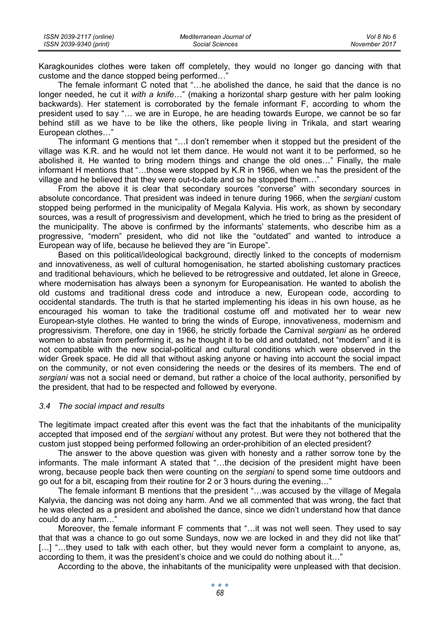| ISSN 2039-2117 (online) | Mediterranean Journal of | Vol 8 No 6    |
|-------------------------|--------------------------|---------------|
| ISSN 2039-9340 (print)  | Social Sciences          | November 2017 |

Karagkounides clothes were taken off completely, they would no longer go dancing with that custome and the dance stopped being performed...

The female informant C noted that "…he abolished the dance, he said that the dance is no longer needed, he cut it *with a knife*…" (making a horizontal sharp gesture with her palm looking backwards). Her statement is corroborated by the female informant F, according to whom the president used to say "… we are in Europe, he are heading towards Europe, we cannot be so far behind still as we have to be like the others, like people living in Trikala, and start wearing European clothes…"

The informant G mentions that "…I don't remember when it stopped but the president of the village was K.R. and he would not let them dance. He would not want it to be performed, so he abolished it. He wanted to bring modern things and change the old ones…" Finally, the male informant H mentions that "…those were stopped by K.R in 1966, when we has the president of the village and he believed that they were out-to-date and so he stopped them…"

From the above it is clear that secondary sources "converse" with secondary sources in absolute concordance. That president was indeed in tenure during 1966, when the *sergiani* custom stopped being performed in the municipality of Megala Kalyvia. His work, as shown by secondary sources, was a result of progressivism and development, which he tried to bring as the president of the municipality. The above is confirmed by the informants' statements, who describe him as a progressive, "modern" president, who did not like the "outdated" and wanted to introduce a European way of life, because he believed they are "in Europe".

Based on this political/ideological background, directly linked to the concepts of modernism and innovativeness, as well of cultural homogenisation, he started abolishing customary practices and traditional behaviours, which he believed to be retrogressive and outdated, let alone in Greece, where modernisation has always been a synonym for Europeanisation. He wanted to abolish the old customs and traditional dress code and introduce a new, European code, according to occidental standards. The truth is that he started implementing his ideas in his own house, as he encouraged his woman to take the traditional costume off and motivated her to wear new European-style clothes. He wanted to bring the winds of Europe, innovativeness, modernism and progressivism. Therefore, one day in 1966, he strictly forbade the Carnival *sergiani* as he ordered women to abstain from performing it, as he thought it to be old and outdated, not "modern" and it is not compatible with the new social-political and cultural conditions which were observed in the wider Greek space. He did all that without asking anyone or having into account the social impact on the community, or not even considering the needs or the desires of its members. The end of *sergiani* was not a social need or demand, but rather a choice of the local authority, personified by the president, that had to be respected and followed by everyone.

#### *3.4 The social impact and results*

The legitimate impact created after this event was the fact that the inhabitants of the municipality accepted that imposed end of the *sergiani* without any protest. But were they not bothered that the custom just stopped being performed following an order-prohibition of an elected president?

The answer to the above question was given with honesty and a rather sorrow tone by the informants. The male informant A stated that "…the decision of the president might have been wrong, because people back then were counting on the *sergiani* to spend some time outdoors and go out for a bit, escaping from their routine for 2 or 3 hours during the evening…"

The female informant B mentions that the president "…was accused by the village of Megala Kalyvia, the dancing was not doing any harm. And we all commented that was wrong, the fact that he was elected as a president and abolished the dance, since we didn't understand how that dance could do any harm…"

Moreover, the female informant F comments that "…it was not well seen. They used to say that that was a chance to go out some Sundays, now we are locked in and they did not like that" [...] "...they used to talk with each other, but they would never form a complaint to anyone, as, according to them, it was the president's choice and we could do nothing about it…"

According to the above, the inhabitants of the municipality were unpleased with that decision.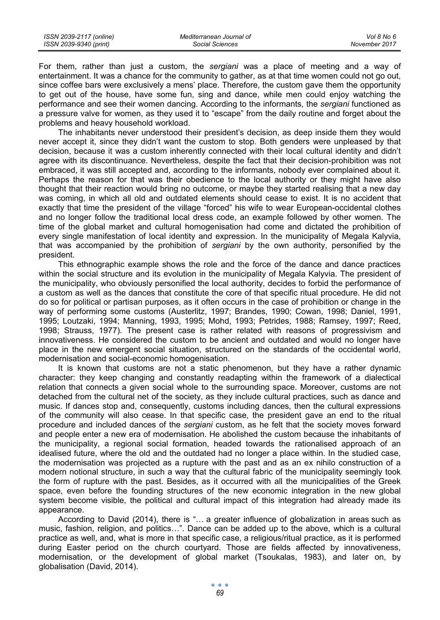| ISSN 2039-2117 (online) | Mediterranean Journal of | Vol 8 No 6    |
|-------------------------|--------------------------|---------------|
| ISSN 2039-9340 (print)  | Social Sciences          | November 2017 |

For them, rather than just a custom, the *sergiani* was a place of meeting and a way of entertainment. It was a chance for the community to gather, as at that time women could not go out, since coffee bars were exclusively a mens' place. Therefore, the custom gave them the opportunity to get out of the house, have some fun, sing and dance, while men could enjoy watching the performance and see their women dancing. According to the informants, the *sergiani* functioned as a pressure valve for women, as they used it to "escape" from the daily routine and forget about the problems and heavy household workload.

The inhabitants never understood their president's decision, as deep inside them they would never accept it, since they didn't want the custom to stop. Both genders were unpleased by that decision, because it was a custom inherently connected with their local cultural identity and didn't agree with its discontinuance. Nevertheless, despite the fact that their decision-prohibition was not embraced, it was still accepted and, according to the informants, nobody ever complained about it. Perhaps the reason for that was their obedience to the local authority or they might have also thought that their reaction would bring no outcome, or maybe they started realising that a new day was coming, in which all old and outdated elements should cease to exist. It is no accident that exactly that time the president of the village "forced" his wife to wear European-occidental clothes and no longer follow the traditional local dress code, an example followed by other women. The time of the global market and cultural homogenisation had come and dictated the prohibition of every single manifestation of local identity and expression. In the municipality of Megala Kalyvia, that was accompanied by the prohibition of *sergiani* by the own authority, personified by the president.

This ethnographic example shows the role and the force of the dance and dance practices within the social structure and its evolution in the municipality of Megala Kalyvia. The president of the municipality, who obviously personified the local authority, decides to forbid the performance of a custom as well as the dances that constitute the core of that specific ritual procedure. He did not do so for political or partisan purposes, as it often occurs in the case of prohibition or change in the way of performing some customs (Austerlitz, 1997; Brandes, 1990; Cowan, 1998; Daniel, 1991, 1995; Loutzaki, 1994; Manning, 1993, 1995; Mohd, 1993; Petrides, 1988; Ramsey, 1997; Reed, 1998; Strauss, 1977). The present case is rather related with reasons of progressivism and innovativeness. He considered the custom to be ancient and outdated and would no longer have place in the new emergent social situation, structured on the standards of the occidental world, modernisation and social-economic homogenisation.

It is known that customs are not a static phenomenon, but they have a rather dynamic character: they keep changing and constantly readapting within the framework of a dialectical relation that connects a given social whole to the surrounding space. Moreover, customs are not detached from the cultural net of the society, as they include cultural practices, such as dance and music. If dances stop and, consequently, customs including dances, then the cultural expressions of the community will also cease. In that specific case, the president gave an end to the ritual procedure and included dances of the *sergiani* custom, as he felt that the society moves forward and people enter a new era of modernisation. He abolished the custom because the inhabitants of the municipality, a regional social formation, headed towards the rationalised approach of an idealised future, where the old and the outdated had no longer a place within. In the studied case, the modernisation was projected as a rupture with the past and as an ex nihilo construction of a modern notional structure, in such a way that the cultural fabric of the municipality seemingly took the form of rupture with the past. Besides, as it occurred with all the municipalities of the Greek space, even before the founding structures of the new economic integration in the new global system become visible, the political and cultural impact of this integration had already made its appearance.

According to David (2014), there is "… a greater influence of globalization in areas such as music, fashion, religion, and politics…". Dance can be added up to the above, which is a cultural practice as well, and, what is more in that specific case, a religious/ritual practice, as it is performed during Easter period on the church courtyard. Those are fields affected by innovativeness, modernisation, or the development of global market (Tsoukalas, 1983), and later on, by globalisation (David, 2014).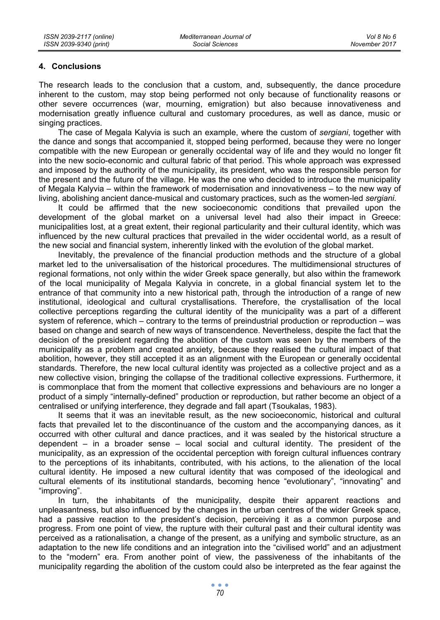### **4. Conclusions**

The research leads to the conclusion that a custom, and, subsequently, the dance procedure inherent to the custom, may stop being performed not only because of functionality reasons or other severe occurrences (war, mourning, emigration) but also because innovativeness and modernisation greatly influence cultural and customary procedures, as well as dance, music or singing practices.

The case of Megala Kalyvia is such an example, where the custom of *sergiani*, together with the dance and songs that accompanied it, stopped being performed, because they were no longer compatible with the new European or generally occidental way of life and they would no longer fit into the new socio-economic and cultural fabric of that period. This whole approach was expressed and imposed by the authority of the municipality, its president, who was the responsible person for the present and the future of the village. He was the one who decided to introduce the municipality of Megala Kalyvia – within the framework of modernisation and innovativeness – to the new way of living, abolishing ancient dance-musical and customary practices, such as the women-led *sergiani*.

It could be affirmed that the new socioeconomic conditions that prevailed upon the development of the global market on a universal level had also their impact in Greece: municipalities lost, at a great extent, their regional particularity and their cultural identity, which was influenced by the new cultural practices that prevailed in the wider occidental world, as a result of the new social and financial system, inherently linked with the evolution of the global market.

Inevitably, the prevalence of the financial production methods and the structure of a global market led to the universalisation of the historical procedures. The multidimensional structures of regional formations, not only within the wider Greek space generally, but also within the framework of the local municipality of Megala Kalyvia in concrete, in a global financial system let to the entrance of that community into a new historical path, through the introduction of a range of new institutional, ideological and cultural crystallisations. Therefore, the crystallisation of the local collective perceptions regarding the cultural identity of the municipality was a part of a different system of reference, which – contrary to the terms of preindustrial production or reproduction – was based on change and search of new ways of transcendence. Nevertheless, despite the fact that the decision of the president regarding the abolition of the custom was seen by the members of the municipality as a problem and created anxiety, because they realised the cultural impact of that abolition, however, they still accepted it as an alignment with the European or generally occidental standards. Therefore, the new local cultural identity was projected as a collective project and as a new collective vision, bringing the collapse of the traditional collective expressions. Furthermore, it is commonplace that from the moment that collective expressions and behaviours are no longer a product of a simply "internally-defined" production or reproduction, but rather become an object of a centralised or unifying interference, they degrade and fall apart (Tsoukalas, 1983).

It seems that it was an inevitable result, as the new socioeconomic, historical and cultural facts that prevailed let to the discontinuance of the custom and the accompanying dances, as it occurred with other cultural and dance practices, and it was sealed by the historical structure a dependent – in a broader sense – local social and cultural identity. The president of the municipality, as an expression of the occidental perception with foreign cultural influences contrary to the perceptions of its inhabitants, contributed, with his actions, to the alienation of the local cultural identity. He imposed a new cultural identity that was composed of the ideological and cultural elements of its institutional standards, becoming hence "evolutionary", "innovating" and "improving".

In turn, the inhabitants of the municipality, despite their apparent reactions and unpleasantness, but also influenced by the changes in the urban centres of the wider Greek space, had a passive reaction to the president's decision, perceiving it as a common purpose and progress. From one point of view, the rupture with their cultural past and their cultural identity was perceived as a rationalisation, a change of the present, as a unifying and symbolic structure, as an adaptation to the new life conditions and an integration into the "civilised world" and an adjustment to the "modern" era. From another point of view, the passiveness of the inhabitants of the municipality regarding the abolition of the custom could also be interpreted as the fear against the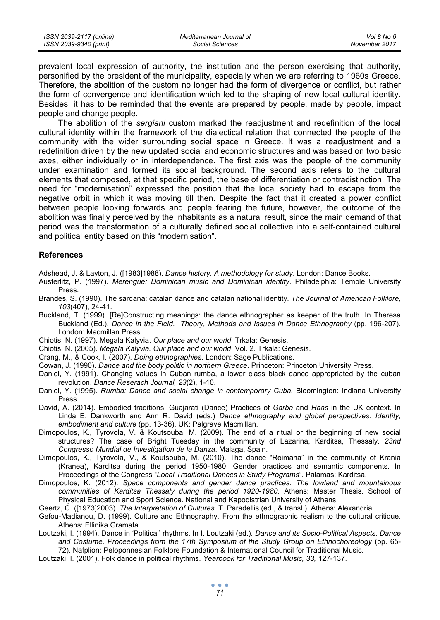| ISSN 2039-2117 (online) | Mediterranean Journal of | Vol 8 No 6    |
|-------------------------|--------------------------|---------------|
| ISSN 2039-9340 (print)  | Social Sciences          | November 2017 |

prevalent local expression of authority, the institution and the person exercising that authority, personified by the president of the municipality, especially when we are referring to 1960s Greece. Therefore, the abolition of the custom no longer had the form of divergence or conflict, but rather the form of convergence and identification which led to the shaping of new local cultural identity. Besides, it has to be reminded that the events are prepared by people, made by people, impact people and change people.

The abolition of the *sergiani* custom marked the readjustment and redefinition of the local cultural identity within the framework of the dialectical relation that connected the people of the community with the wider surrounding social space in Greece. It was a readjustment and a redefinition driven by the new updated social and economic structures and was based on two basic axes, either individually or in interdependence. The first axis was the people of the community under examination and formed its social background. The second axis refers to the cultural elements that composed, at that specific period, the base of differentiation or contradistinction. The need for "modernisation" expressed the position that the local society had to escape from the negative orbit in which it was moving till then. Despite the fact that it created a power conflict between people looking forwards and people fearing the future, however, the outcome of the abolition was finally perceived by the inhabitants as a natural result, since the main demand of that period was the transformation of a culturally defined social collective into a self-contained cultural and political entity based on this "modernisation".

#### **References**

Adshead, J. & Layton, J. ([1983]1988). *Dance history*. *A methodology for study*. London: Dance Books.

- Austerlitz, P. (1997). *Merengue: Dominican music and Dominican identity*. Philadelphia: Temple University Press.
- Brandes, S. (1990). The sardana: catalan dance and catalan national identity. *The Journal of American Folklore, 103*(407), 24-41.
- Buckland, T. (1999). [Re]Constructing meanings: the dance ethnographer as keeper of the truth. In Theresa Buckland (Ed.), *Dance in the Field*. *Theory, Methods and Issues in Dance Ethnography* (pp. 196-207). London: Macmillan Press.
- Chiotis, N. (1997). Megala Kalyvia. *Our place and our world*. Trkala: Genesis.
- Chiotis, N. (2005). *Megala Kalyvia. Our place and our world*. Vol. 2. Trkala: Genesis.
- Crang, M., & Cook, I. (2007). *Doing ethnographies*. London: Sage Publications.
- Cowan, J. (1990). *Dance and the body politic in northern Greece*. Princeton: Princeton University Press.
- Daniel, Y. (1991). Changing values in Cuban rumba, a lower class black dance appropriated by the cuban revolution. *Dance Reserach Journal, 23*(2), 1-10.
- Daniel, Y. (1995). *Rumba: Dance and social change in contemporary Cuba.* Bloomington: Indiana University Press.
- David, A. (2014). Embodied traditions. Guajarati (Dance) Practices of *Garba* and *Raas* in the UK context. In Linda E. Dankworth and Ann R. David (eds.) *Dance ethnography and global perspectives. Identity, embodiment and culture* (pp. 13-36). UK: Palgrave Macmillan.
- Dimopoulos, K., Tyrovola, V. & Koutsouba, M. (2009). The end of a ritual or the beginning of new social structures? The case of Bright Tuesday in the community of Lazarina, Karditsa, Thessaly. *23nd Congresso Mundial de Investigation de la Danza*. Malaga, Spain.
- Dimopoulos, K., Tyrovola, V., & Koutsouba, M. (2010). The dance "Roimana" in the community of Krania (Kranea), Karditsa during the period 1950-1980. Gender practices and semantic components. In Proceedings of the Congress "*Local Traditional Dances in Study Programs*". Palamas: Karditsa.
- Dimopoulos, K. (2012). *Space components and gender dance practices. The lowland and mountainous communities of Karditsa Thessaly during the period 1920-1980*. Athens: Master Thesis. School of Physical Education and Sport Science. National and Kapodistrian University of Athens.

Geertz, C. ([1973]2003). *The Interpretation of Cultures*. T. Paradellis (ed., & transl.). Athens: Alexandria.

- Gefou-Madianou, D. (1999). Culture and Ethnography. From the ethnographic realism to the cultural critique. Athens: Ellinika Gramata.
- Loutzaki, I. (1994). Dance in 'Political' rhythms. In I. Loutzaki (ed.). *Dance and its Socio-Political Aspects. Dance and Costume. Proceedings from the 17th Symposium of the Study Group on Ethnochoreology* (pp. 65-
	- 72). Nafplion: Peloponnesian Folklore Foundation & International Council for Traditional Music.
- Loutzaki, I. (2001). Folk dance in political rhythms. *Yearbook for Traditional Music, 33,* 127-137.